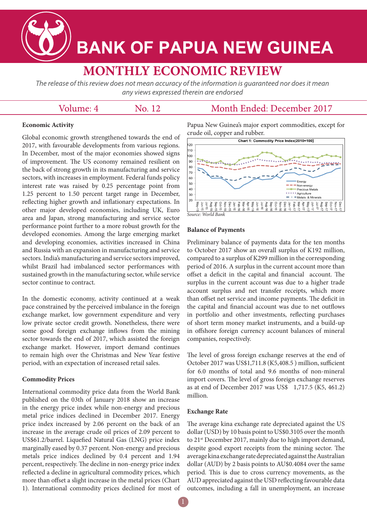**BANK OF PAPUA NEW GUINEA** 

# **MONTHLY ECONOMIC REVIEW**

The release of this review does not mean accuracy of the information is guaranteed nor does it mean any views expressed therein are endorsed

# Volume: 4

No. 12

# Month Ended: December 2017

## **Economic Activity**

Global economic growth strengthened towards the end of 2017, with favourable developments from various regions. In December, most of the major economies showed signs of improvement. The US economy remained resilient on the back of strong growth in its manufacturing and service sectors, with increases in employment. Federal funds policy interest rate was raised by 0.25 percentage point from 1.25 percent to 1.50 percent target range in December, reflecting higher growth and inflationary expectations. In other major developed economies, including UK, Euro area and Japan, strong manufacturing and service sector performance point further to a more robust growth for the developed economies. Among the large emerging market and developing economies, activities increased in China and Russia with an expansion in manufacturing and service sectors. India's manufacturing and service sectors improved, whilst Brazil had imbalanced sector performances with sustained growth in the manufacturing sector, while service sector continue to contract.

In the domestic economy, activity continued at a weak pace constrained by the perceived imbalance in the foreign exchange market, low government expenditure and very low private sector credit growth. Nonetheless, there were some good foreign exchange inflows from the mining sector towards the end of 2017, which assisted the foreign exchange market. However, import demand continues to remain high over the Christmas and New Year festive period, with an expectation of increased retail sales.

## **Commodity Prices**

International commodity price data from the World Bank published on the 03th of January 2018 show an increase in the energy price index while non-energy and precious metal price indices declined in December 2017. Energy price index increased by 2.06 percent on the back of an increase in the average crude oil prices of 2.09 percent to US\$61.2/barrel. Liquefied Natural Gas (LNG) price index marginally eased by 0.37 percent. Non-energy and precious metals price indices declined by 0.4 percent and 1.94 percent, respectively. The decline in non-energy price index reflected a decline in agricultural commodity prices, which more than offset a slight increase in the metal prices (Chart 1). International commodity prices declined for most of Papua New Guinea's major export commodities, except for crude oil, copper and rubber.



#### **Balance of Payments**

Preliminary balance of payments data for the ten months to October 2017 show an overall surplus of K192 million, compared to a surplus of K299 million in the corresponding period of 2016. A surplus in the current account more than offset a deficit in the capital and financial account. The surplus in the current account was due to a higher trade account surplus and net transfer receipts, which more than offset net service and income payments. The deficit in the capital and financial account was due to net outflows in portfolio and other investments, reflecting purchases of short term money market instruments, and a build-up in offshore foreign currency account balances of mineral companies, respectively.

The level of gross foreign exchange reserves at the end of October 2017 was US\$1,711.8 (K5,408.5 ) million, sufficient for 6.0 months of total and 9.6 months of non-mineral import covers. The level of gross foreign exchange reserves as at end of December 2017 was US\$ 1,717.5 (K5, 461.2) million.

#### **Exchange Rate**

The average kina exchange rate depreciated against the US dollar (USD) by 10 basis point to US\$0.3105 over the month to 21<sup>st</sup> December 2017, mainly due to high import demand, despite good export receipts from the mining sector. The average kina exchange rate depreciated against the Australian dollar (AUD) by 2 basis points to AU\$0.4084 over the same period. This is due to cross currency movements, as the AUD appreciated against the USD reflecting favourable data outcomes, including a fall in unemployment, an increase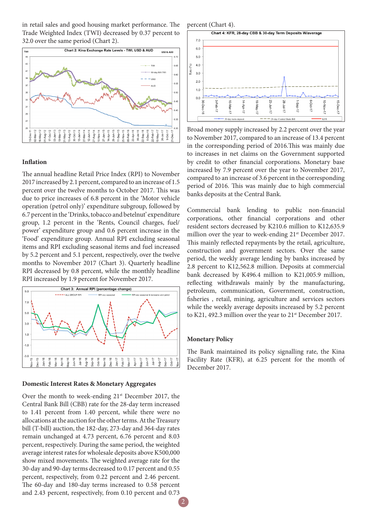in retail sales and good housing market performance. The Trade Weighted Index (TWI) decreased by 0.37 percent to 32.0 over the same period (Chart 2).



### **Inflation**

The annual headline Retail Price Index (RPI) to November 2017 increased by 2.1 percent, compared to an increase of 1.5 percent over the twelve months to October 2017. This was due to price increases of 6.8 percent in the 'Motor vehicle operation (petrol only)' expenditure subgroup, followed by 6.7 percent in the 'Drinks, tobacco and betelnut' expenditure group, 1.2 percent in the 'Rents, Council charges, fuel/ power' expenditure group and 0.6 percent increase in the 'Food' expenditure group. Annual RPI excluding seasonal items and RPI excluding seasonal items and fuel increased by 5.2 percent and 5.1 percent, respectively, over the twelve months to November 2017 (Chart 3). Quarterly headline RPI decreased by 0.8 percent, while the monthly headline RPI increased by 1.9 percent for November 2017.



#### **Domestic Interest Rates & Monetary Aggregates**

Over the month to week-ending  $21<sup>st</sup>$  December 2017, the Central Bank Bill (CBB) rate for the 28-day term increased to 1.41 percent from 1.40 percent, while there were no allocations at the auction for the other terms. At the Treasury bill (T-bill) auction, the 182-day, 273-day and 364-day rates remain unchanged at 4.73 percent, 6.76 percent and 8.03 percent, respectively. During the same period, the weighted average interest rates for wholesale deposits above K500,000 show mixed movements. The weighted average rate for the 30-day and 90-day terms decreased to 0.17 percent and 0.55 percent, respectively, from 0.22 percent and 2.46 percent. The 60-day and 180-day terms increased to 0.58 percent and 2.43 percent, respectively, from 0.10 percent and 0.73

percent (Chart 4).



Broad money supply increased by 2.2 percent over the year to November 2017, compared to an increase of 13.4 percent in the corresponding period of 2016.This was mainly due to increases in net claims on the Government supported by credit to other financial corporations. Monetary base increased by 7.9 percent over the year to November 2017, compared to an increase of 3.6 percent in the corresponding period of 2016. This was mainly due to high commercial banks deposits at the Central Bank.

Commercial bank lending to public non-financial corporations, other financial corporations and other resident sectors decreased by K210.6 million to K12,635.9 million over the year to week-ending 21<sup>st</sup> December 2017. This mainly reflected repayments by the retail, agriculture, construction and government sectors. Over the same period, the weekly average lending by banks increased by 2.8 percent to K12,562.8 million. Deposits at commercial bank decreased by K496.4 million to K21,005.9 million, reflecting withdrawals mainly by the manufacturing, petroleum, communication, Government, construction, fisheries , retail, mining, agriculture and services sectors while the weekly average deposits increased by 5.2 percent to K21, 492.3 million over the year to 21<sup>st</sup> December 2017.

#### **Monetary Policy**

The Bank maintained its policy signalling rate, the Kina Facility Rate (KFR), at 6.25 percent for the month of December 2017.